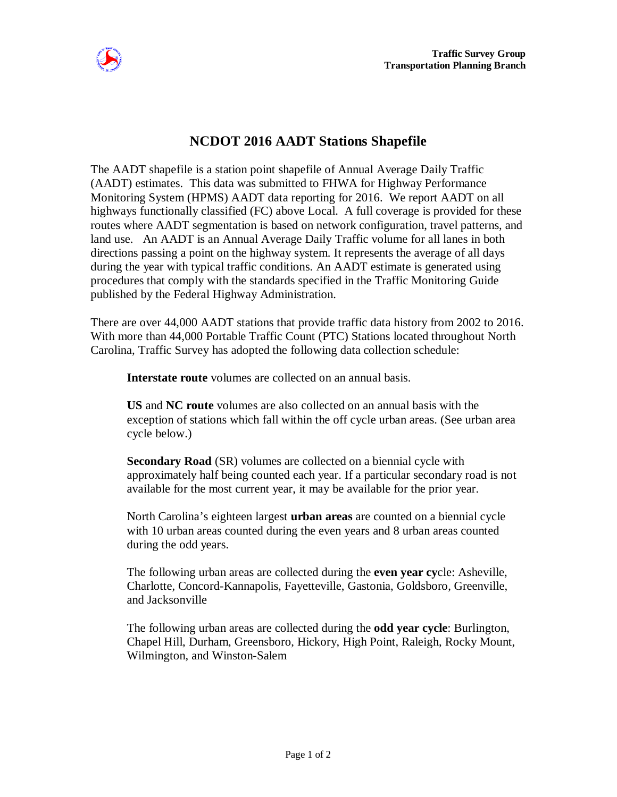

## **NCDOT 2016 AADT Stations Shapefile**

The AADT shapefile is a station point shapefile of Annual Average Daily Traffic (AADT) estimates. This data was submitted to FHWA for Highway Performance Monitoring System (HPMS) AADT data reporting for 2016. We report AADT on all highways functionally classified (FC) above Local. A full coverage is provided for these routes where AADT segmentation is based on network configuration, travel patterns, and land use. An AADT is an Annual Average Daily Traffic volume for all lanes in both directions passing a point on the highway system. It represents the average of all days during the year with typical traffic conditions. An AADT estimate is generated using procedures that comply with the standards specified in the Traffic Monitoring Guide published by the Federal Highway Administration.

There are over 44,000 AADT stations that provide traffic data history from 2002 to 2016. With more than 44,000 Portable Traffic Count (PTC) Stations located throughout North Carolina, Traffic Survey has adopted the following data collection schedule:

**Interstate route** volumes are collected on an annual basis.

**US** and **NC route** volumes are also collected on an annual basis with the exception of stations which fall within the off cycle urban areas. (See urban area cycle below.)

**Secondary Road** (SR) volumes are collected on a biennial cycle with approximately half being counted each year. If a particular secondary road is not available for the most current year, it may be available for the prior year.

North Carolina's eighteen largest **urban areas** are counted on a biennial cycle with 10 urban areas counted during the even years and 8 urban areas counted during the odd years.

The following urban areas are collected during the **even year cy**cle: Asheville, Charlotte, Concord-Kannapolis, Fayetteville, Gastonia, Goldsboro, Greenville, and Jacksonville

The following urban areas are collected during the **odd year cycle**: Burlington, Chapel Hill, Durham, Greensboro, Hickory, High Point, Raleigh, Rocky Mount, Wilmington, and Winston-Salem